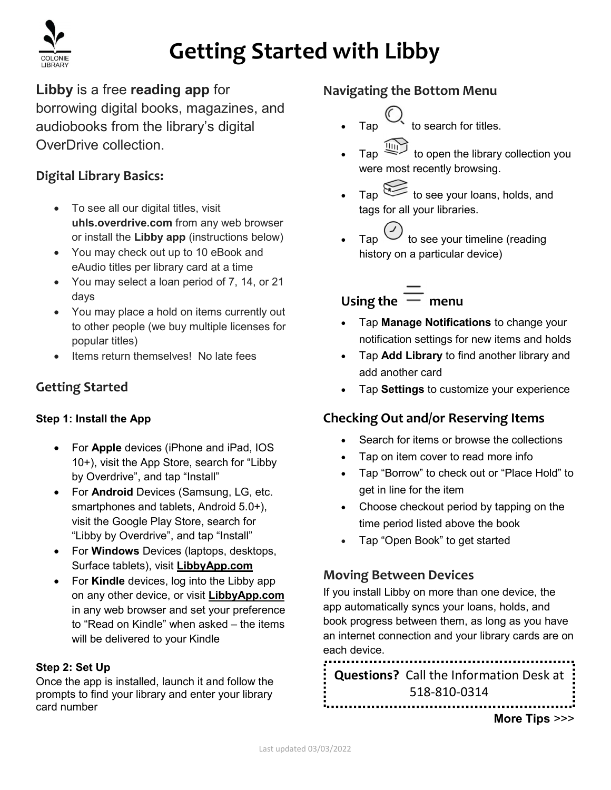

# Getting Started with Libby

Libby is a free reading app for

borrowing digital books, magazines, and audiobooks from the library's digital OverDrive collection.

#### Digital Library Basics:

- To see all our digital titles, visit uhls.overdrive.com from any web browser or install the Libby app (instructions below)
- You may check out up to 10 eBook and eAudio titles per library card at a time
- You may select a loan period of 7, 14, or 21 days
- You may place a hold on items currently out to other people (we buy multiple licenses for popular titles)
- Items return themselves! No late fees

#### Getting Started

#### Step 1: Install the App

- For Apple devices (iPhone and iPad, IOS 10+), visit the App Store, search for "Libby by Overdrive", and tap "Install"
- For Android Devices (Samsung, LG, etc. smartphones and tablets, Android 5.0+), visit the Google Play Store, search for "Libby by Overdrive", and tap "Install"
- For **Windows** Devices (laptops, desktops, Surface tablets), visit LibbyApp.com
- For Kindle devices, log into the Libby app on any other device, or visit LibbyApp.com in any web browser and set your preference to "Read on Kindle" when asked – the items will be delivered to your Kindle

#### Step 2: Set Up

Once the app is installed, launch it and follow the prompts to find your library and enter your library card number

#### Navigating the Bottom Menu

- to search for titles.
- Tap  $\overrightarrow{u_{\text{III}}}$  to open the library collection you were most recently browsing.
- Tap to see your loans, holds, and tags for all your libraries.
- $Tap \cup$  to see your timeline (reading history on a particular device)

# Using the  $=$  menu

- Tap Manage Notifications to change your notification settings for new items and holds
- Tap Add Library to find another library and add another card
- Tap Settings to customize your experience

#### Checking Out and/or Reserving Items

- Search for items or browse the collections
- Tap on item cover to read more info
- Tap "Borrow" to check out or "Place Hold" to get in line for the item
- Choose checkout period by tapping on the time period listed above the book
- Tap "Open Book" to get started

#### Moving Between Devices

If you install Libby on more than one device, the app automatically syncs your loans, holds, and book progress between them, as long as you have an internet connection and your library cards are on each device.

Questions? Call the Information Desk at 518-810-0314